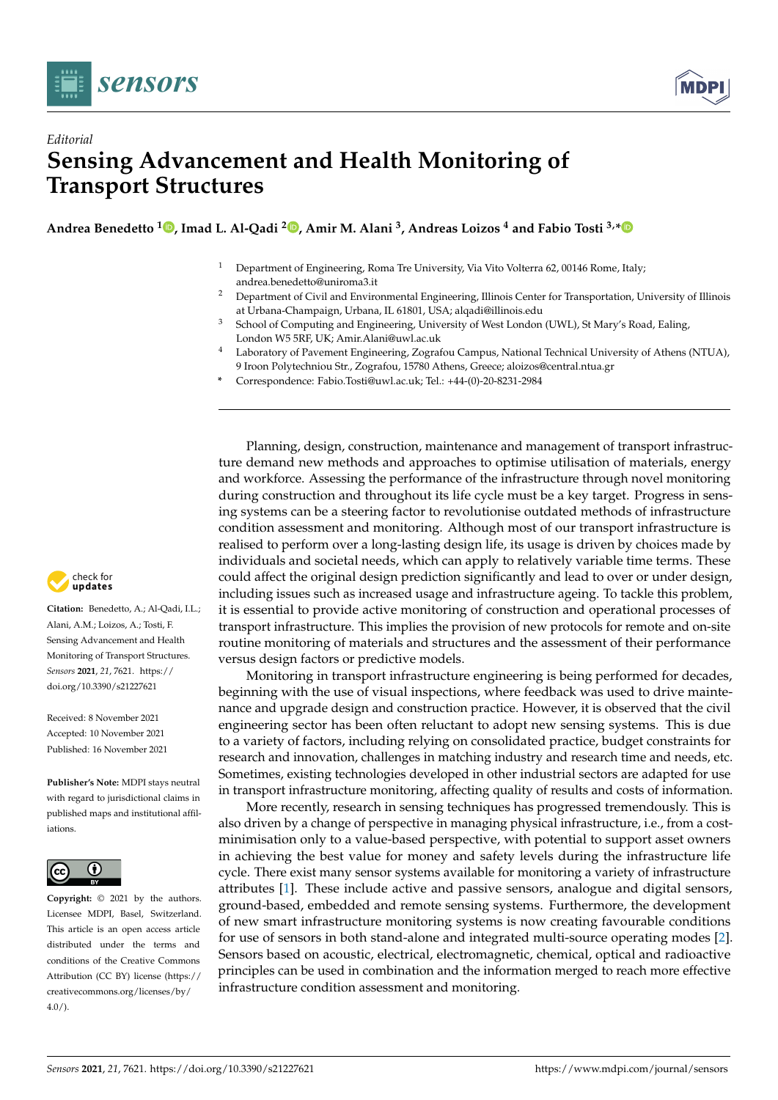



## *Editorial* **Sensing Advancement and Health Monitoring of Transport Structures**

**Andrea Benedetto <sup>1</sup> [,](https://orcid.org/0000-0002-1006-8928) Imad L. Al-Qadi <sup>2</sup> [,](https://orcid.org/0000-0002-5824-103X) Amir M. Alani <sup>3</sup> , Andreas Loizos <sup>4</sup> and Fabio Tosti 3,[\\*](https://orcid.org/0000-0003-0291-9937)**

- <sup>1</sup> Department of Engineering, Roma Tre University, Via Vito Volterra 62, 00146 Rome, Italy; andrea.benedetto@uniroma3.it
- <sup>2</sup> Department of Civil and Environmental Engineering, Illinois Center for Transportation, University of Illinois at Urbana-Champaign, Urbana, IL 61801, USA; alqadi@illinois.edu
- <sup>3</sup> School of Computing and Engineering, University of West London (UWL), St Mary's Road, Ealing, London W5 5RF, UK; Amir.Alani@uwl.ac.uk
- <sup>4</sup> Laboratory of Pavement Engineering, Zografou Campus, National Technical University of Athens (NTUA), 9 Iroon Polytechniou Str., Zografou, 15780 Athens, Greece; aloizos@central.ntua.gr
- **\*** Correspondence: Fabio.Tosti@uwl.ac.uk; Tel.: +44-(0)-20-8231-2984

Planning, design, construction, maintenance and management of transport infrastructure demand new methods and approaches to optimise utilisation of materials, energy and workforce. Assessing the performance of the infrastructure through novel monitoring during construction and throughout its life cycle must be a key target. Progress in sensing systems can be a steering factor to revolutionise outdated methods of infrastructure condition assessment and monitoring. Although most of our transport infrastructure is realised to perform over a long-lasting design life, its usage is driven by choices made by individuals and societal needs, which can apply to relatively variable time terms. These could affect the original design prediction significantly and lead to over or under design, including issues such as increased usage and infrastructure ageing. To tackle this problem, it is essential to provide active monitoring of construction and operational processes of transport infrastructure. This implies the provision of new protocols for remote and on-site routine monitoring of materials and structures and the assessment of their performance versus design factors or predictive models.

Monitoring in transport infrastructure engineering is being performed for decades, beginning with the use of visual inspections, where feedback was used to drive maintenance and upgrade design and construction practice. However, it is observed that the civil engineering sector has been often reluctant to adopt new sensing systems. This is due to a variety of factors, including relying on consolidated practice, budget constraints for research and innovation, challenges in matching industry and research time and needs, etc. Sometimes, existing technologies developed in other industrial sectors are adapted for use in transport infrastructure monitoring, affecting quality of results and costs of information.

More recently, research in sensing techniques has progressed tremendously. This is also driven by a change of perspective in managing physical infrastructure, i.e., from a costminimisation only to a value-based perspective, with potential to support asset owners in achieving the best value for money and safety levels during the infrastructure life cycle. There exist many sensor systems available for monitoring a variety of infrastructure attributes [\[1\]](#page-3-0). These include active and passive sensors, analogue and digital sensors, ground-based, embedded and remote sensing systems. Furthermore, the development of new smart infrastructure monitoring systems is now creating favourable conditions for use of sensors in both stand-alone and integrated multi-source operating modes [\[2\]](#page-3-1). Sensors based on acoustic, electrical, electromagnetic, chemical, optical and radioactive principles can be used in combination and the information merged to reach more effective infrastructure condition assessment and monitoring.



**Citation:** Benedetto, A.; Al-Qadi, I.L.; Alani, A.M.; Loizos, A.; Tosti, F. Sensing Advancement and Health Monitoring of Transport Structures. *Sensors* **2021**, *21*, 7621. [https://](https://doi.org/10.3390/s21227621) [doi.org/10.3390/s21227621](https://doi.org/10.3390/s21227621)

Received: 8 November 2021 Accepted: 10 November 2021 Published: 16 November 2021

**Publisher's Note:** MDPI stays neutral with regard to jurisdictional claims in published maps and institutional affiliations.



**Copyright:** © 2021 by the authors. Licensee MDPI, Basel, Switzerland. This article is an open access article distributed under the terms and conditions of the Creative Commons Attribution (CC BY) license (https:/[/](https://creativecommons.org/licenses/by/4.0/) [creativecommons.org/licenses/by/](https://creativecommons.org/licenses/by/4.0/)  $4.0/$ ).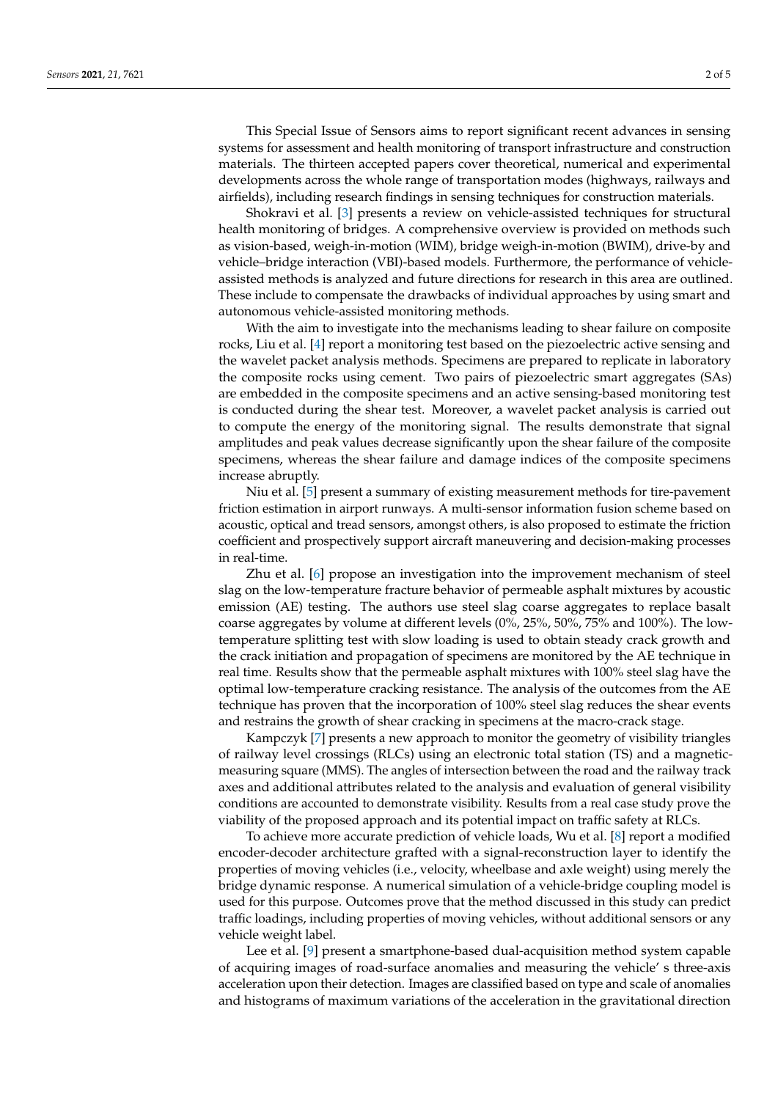This Special Issue of Sensors aims to report significant recent advances in sensing systems for assessment and health monitoring of transport infrastructure and construction materials. The thirteen accepted papers cover theoretical, numerical and experimental developments across the whole range of transportation modes (highways, railways and airfields), including research findings in sensing techniques for construction materials.

Shokravi et al. [\[3\]](#page-3-2) presents a review on vehicle-assisted techniques for structural health monitoring of bridges. A comprehensive overview is provided on methods such as vision-based, weigh-in-motion (WIM), bridge weigh-in-motion (BWIM), drive-by and vehicle–bridge interaction (VBI)-based models. Furthermore, the performance of vehicleassisted methods is analyzed and future directions for research in this area are outlined. These include to compensate the drawbacks of individual approaches by using smart and autonomous vehicle-assisted monitoring methods.

With the aim to investigate into the mechanisms leading to shear failure on composite rocks, Liu et al. [\[4\]](#page-3-3) report a monitoring test based on the piezoelectric active sensing and the wavelet packet analysis methods. Specimens are prepared to replicate in laboratory the composite rocks using cement. Two pairs of piezoelectric smart aggregates (SAs) are embedded in the composite specimens and an active sensing-based monitoring test is conducted during the shear test. Moreover, a wavelet packet analysis is carried out to compute the energy of the monitoring signal. The results demonstrate that signal amplitudes and peak values decrease significantly upon the shear failure of the composite specimens, whereas the shear failure and damage indices of the composite specimens increase abruptly.

Niu et al. [\[5\]](#page-3-4) present a summary of existing measurement methods for tire-pavement friction estimation in airport runways. A multi-sensor information fusion scheme based on acoustic, optical and tread sensors, amongst others, is also proposed to estimate the friction coefficient and prospectively support aircraft maneuvering and decision-making processes in real-time.

Zhu et al. [\[6\]](#page-3-5) propose an investigation into the improvement mechanism of steel slag on the low-temperature fracture behavior of permeable asphalt mixtures by acoustic emission (AE) testing. The authors use steel slag coarse aggregates to replace basalt coarse aggregates by volume at different levels (0%, 25%, 50%, 75% and 100%). The lowtemperature splitting test with slow loading is used to obtain steady crack growth and the crack initiation and propagation of specimens are monitored by the AE technique in real time. Results show that the permeable asphalt mixtures with 100% steel slag have the optimal low-temperature cracking resistance. The analysis of the outcomes from the AE technique has proven that the incorporation of 100% steel slag reduces the shear events and restrains the growth of shear cracking in specimens at the macro-crack stage.

Kampczyk [\[7\]](#page-3-6) presents a new approach to monitor the geometry of visibility triangles of railway level crossings (RLCs) using an electronic total station (TS) and a magneticmeasuring square (MMS). The angles of intersection between the road and the railway track axes and additional attributes related to the analysis and evaluation of general visibility conditions are accounted to demonstrate visibility. Results from a real case study prove the viability of the proposed approach and its potential impact on traffic safety at RLCs.

To achieve more accurate prediction of vehicle loads, Wu et al. [\[8\]](#page-3-7) report a modified encoder-decoder architecture grafted with a signal-reconstruction layer to identify the properties of moving vehicles (i.e., velocity, wheelbase and axle weight) using merely the bridge dynamic response. A numerical simulation of a vehicle-bridge coupling model is used for this purpose. Outcomes prove that the method discussed in this study can predict traffic loadings, including properties of moving vehicles, without additional sensors or any vehicle weight label.

Lee et al. [\[9\]](#page-3-8) present a smartphone-based dual-acquisition method system capable of acquiring images of road-surface anomalies and measuring the vehicle' s three-axis acceleration upon their detection. Images are classified based on type and scale of anomalies and histograms of maximum variations of the acceleration in the gravitational direction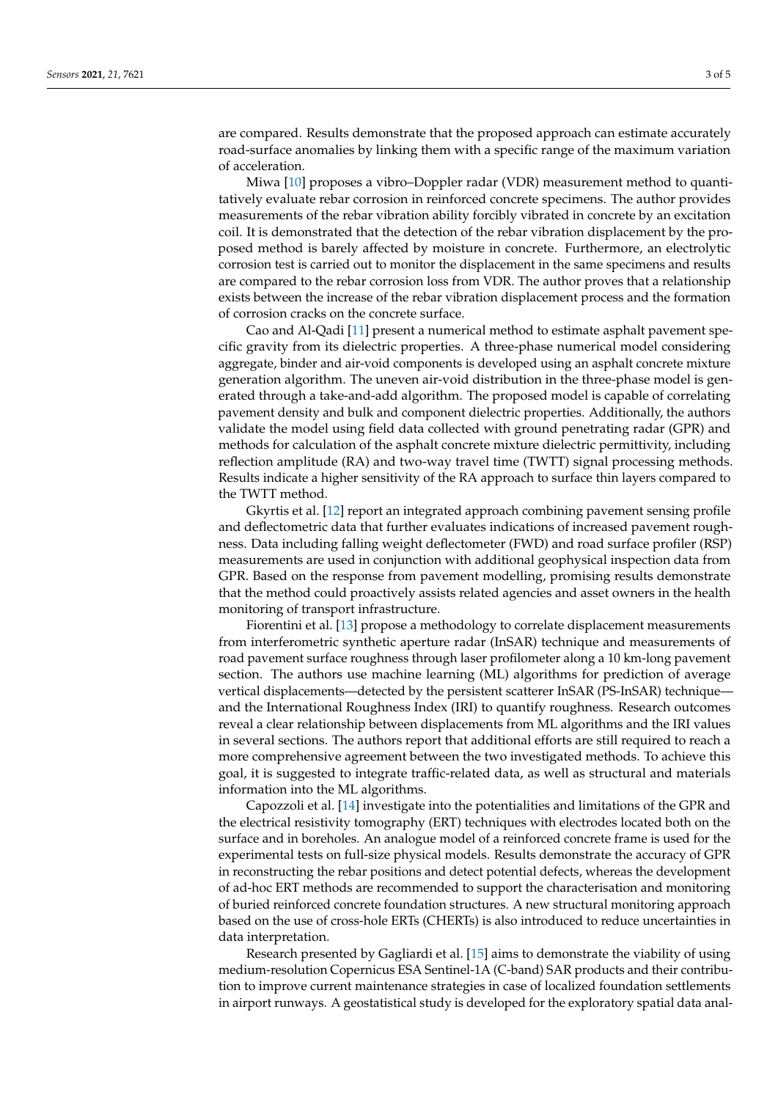are compared. Results demonstrate that the proposed approach can estimate accurately road-surface anomalies by linking them with a specific range of the maximum variation of acceleration.

Miwa [\[10\]](#page-3-9) proposes a vibro–Doppler radar (VDR) measurement method to quantitatively evaluate rebar corrosion in reinforced concrete specimens. The author provides measurements of the rebar vibration ability forcibly vibrated in concrete by an excitation coil. It is demonstrated that the detection of the rebar vibration displacement by the proposed method is barely affected by moisture in concrete. Furthermore, an electrolytic corrosion test is carried out to monitor the displacement in the same specimens and results are compared to the rebar corrosion loss from VDR. The author proves that a relationship exists between the increase of the rebar vibration displacement process and the formation of corrosion cracks on the concrete surface.

Cao and Al-Qadi [\[11\]](#page-3-10) present a numerical method to estimate asphalt pavement specific gravity from its dielectric properties. A three-phase numerical model considering aggregate, binder and air-void components is developed using an asphalt concrete mixture generation algorithm. The uneven air-void distribution in the three-phase model is generated through a take-and-add algorithm. The proposed model is capable of correlating pavement density and bulk and component dielectric properties. Additionally, the authors validate the model using field data collected with ground penetrating radar (GPR) and methods for calculation of the asphalt concrete mixture dielectric permittivity, including reflection amplitude (RA) and two-way travel time (TWTT) signal processing methods. Results indicate a higher sensitivity of the RA approach to surface thin layers compared to the TWTT method.

Gkyrtis et al. [\[12\]](#page-3-11) report an integrated approach combining pavement sensing profile and deflectometric data that further evaluates indications of increased pavement roughness. Data including falling weight deflectometer (FWD) and road surface profiler (RSP) measurements are used in conjunction with additional geophysical inspection data from GPR. Based on the response from pavement modelling, promising results demonstrate that the method could proactively assists related agencies and asset owners in the health monitoring of transport infrastructure.

Fiorentini et al. [\[13\]](#page-3-12) propose a methodology to correlate displacement measurements from interferometric synthetic aperture radar (InSAR) technique and measurements of road pavement surface roughness through laser profilometer along a 10 km-long pavement section. The authors use machine learning (ML) algorithms for prediction of average vertical displacements—detected by the persistent scatterer InSAR (PS-InSAR) technique and the International Roughness Index (IRI) to quantify roughness. Research outcomes reveal a clear relationship between displacements from ML algorithms and the IRI values in several sections. The authors report that additional efforts are still required to reach a more comprehensive agreement between the two investigated methods. To achieve this goal, it is suggested to integrate traffic-related data, as well as structural and materials information into the ML algorithms.

Capozzoli et al. [\[14\]](#page-4-0) investigate into the potentialities and limitations of the GPR and the electrical resistivity tomography (ERT) techniques with electrodes located both on the surface and in boreholes. An analogue model of a reinforced concrete frame is used for the experimental tests on full-size physical models. Results demonstrate the accuracy of GPR in reconstructing the rebar positions and detect potential defects, whereas the development of ad-hoc ERT methods are recommended to support the characterisation and monitoring of buried reinforced concrete foundation structures. A new structural monitoring approach based on the use of cross-hole ERTs (CHERTs) is also introduced to reduce uncertainties in data interpretation.

Research presented by Gagliardi et al. [\[15\]](#page-4-1) aims to demonstrate the viability of using medium-resolution Copernicus ESA Sentinel-1A (C-band) SAR products and their contribution to improve current maintenance strategies in case of localized foundation settlements in airport runways. A geostatistical study is developed for the exploratory spatial data anal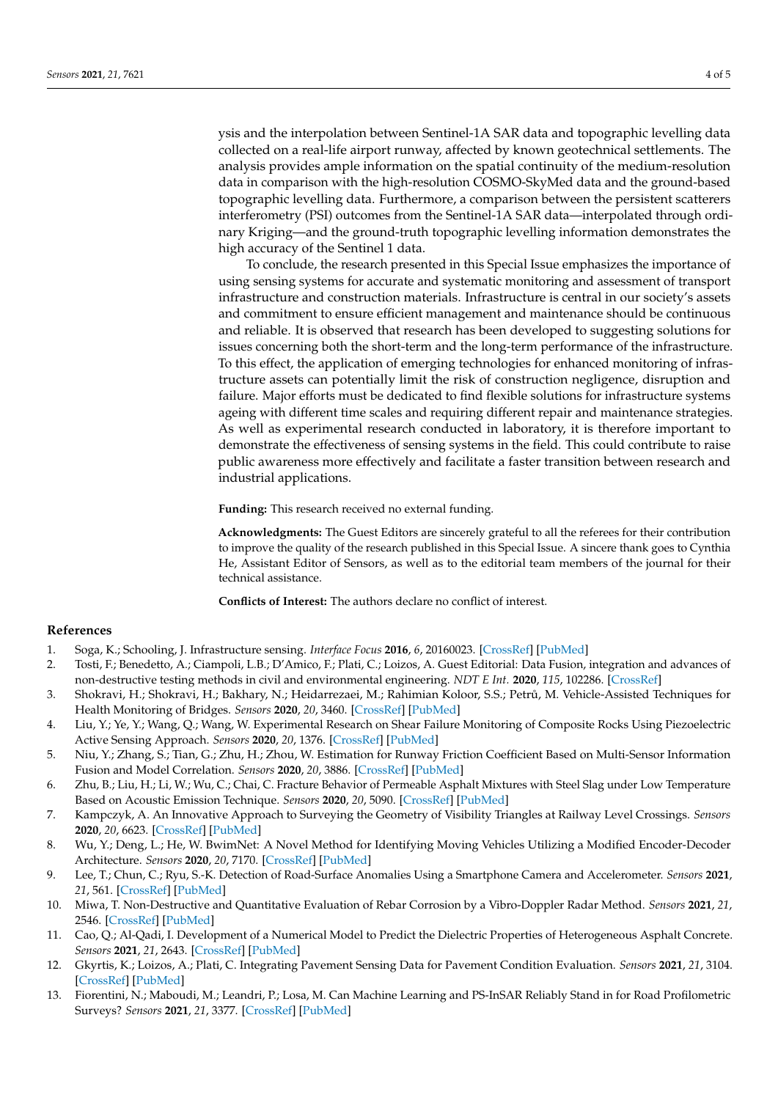ysis and the interpolation between Sentinel-1A SAR data and topographic levelling data collected on a real-life airport runway, affected by known geotechnical settlements. The analysis provides ample information on the spatial continuity of the medium-resolution data in comparison with the high-resolution COSMO-SkyMed data and the ground-based topographic levelling data. Furthermore, a comparison between the persistent scatterers interferometry (PSI) outcomes from the Sentinel-1A SAR data—interpolated through ordinary Kriging—and the ground-truth topographic levelling information demonstrates the high accuracy of the Sentinel 1 data.

To conclude, the research presented in this Special Issue emphasizes the importance of using sensing systems for accurate and systematic monitoring and assessment of transport infrastructure and construction materials. Infrastructure is central in our society's assets and commitment to ensure efficient management and maintenance should be continuous and reliable. It is observed that research has been developed to suggesting solutions for issues concerning both the short-term and the long-term performance of the infrastructure. To this effect, the application of emerging technologies for enhanced monitoring of infrastructure assets can potentially limit the risk of construction negligence, disruption and failure. Major efforts must be dedicated to find flexible solutions for infrastructure systems ageing with different time scales and requiring different repair and maintenance strategies. As well as experimental research conducted in laboratory, it is therefore important to demonstrate the effectiveness of sensing systems in the field. This could contribute to raise public awareness more effectively and facilitate a faster transition between research and industrial applications.

**Funding:** This research received no external funding.

**Acknowledgments:** The Guest Editors are sincerely grateful to all the referees for their contribution to improve the quality of the research published in this Special Issue. A sincere thank goes to Cynthia He, Assistant Editor of Sensors, as well as to the editorial team members of the journal for their technical assistance.

**Conflicts of Interest:** The authors declare no conflict of interest.

## **References**

- <span id="page-3-0"></span>1. Soga, K.; Schooling, J. Infrastructure sensing. *Interface Focus* **2016**, *6*, 20160023. [\[CrossRef\]](http://doi.org/10.1098/rsfs.2016.0023) [\[PubMed\]](http://www.ncbi.nlm.nih.gov/pubmed/27499845)
- <span id="page-3-1"></span>2. Tosti, F.; Benedetto, A.; Ciampoli, L.B.; D'Amico, F.; Plati, C.; Loizos, A. Guest Editorial: Data Fusion, integration and advances of non-destructive testing methods in civil and environmental engineering. *NDT E Int.* **2020**, *115*, 102286. [\[CrossRef\]](http://doi.org/10.1016/j.ndteint.2020.102286)
- <span id="page-3-2"></span>3. Shokravi, H.; Shokravi, H.; Bakhary, N.; Heidarrezaei, M.; Rahimian Koloor, S.S.; Petrů, M. Vehicle-Assisted Techniques for Health Monitoring of Bridges. *Sensors* **2020**, *20*, 3460. [\[CrossRef\]](http://doi.org/10.3390/s20123460) [\[PubMed\]](http://www.ncbi.nlm.nih.gov/pubmed/32575359)
- <span id="page-3-3"></span>4. Liu, Y.; Ye, Y.; Wang, Q.; Wang, W. Experimental Research on Shear Failure Monitoring of Composite Rocks Using Piezoelectric Active Sensing Approach. *Sensors* **2020**, *20*, 1376. [\[CrossRef\]](http://doi.org/10.3390/s20051376) [\[PubMed\]](http://www.ncbi.nlm.nih.gov/pubmed/32138205)
- <span id="page-3-4"></span>5. Niu, Y.; Zhang, S.; Tian, G.; Zhu, H.; Zhou, W. Estimation for Runway Friction Coefficient Based on Multi-Sensor Information Fusion and Model Correlation. *Sensors* **2020**, *20*, 3886. [\[CrossRef\]](http://doi.org/10.3390/s20143886) [\[PubMed\]](http://www.ncbi.nlm.nih.gov/pubmed/32668618)
- <span id="page-3-5"></span>6. Zhu, B.; Liu, H.; Li, W.; Wu, C.; Chai, C. Fracture Behavior of Permeable Asphalt Mixtures with Steel Slag under Low Temperature Based on Acoustic Emission Technique. *Sensors* **2020**, *20*, 5090. [\[CrossRef\]](http://doi.org/10.3390/s20185090) [\[PubMed\]](http://www.ncbi.nlm.nih.gov/pubmed/32906810)
- <span id="page-3-6"></span>7. Kampczyk, A. An Innovative Approach to Surveying the Geometry of Visibility Triangles at Railway Level Crossings. *Sensors* **2020**, *20*, 6623. [\[CrossRef\]](http://doi.org/10.3390/s20226623) [\[PubMed\]](http://www.ncbi.nlm.nih.gov/pubmed/33228019)
- <span id="page-3-7"></span>8. Wu, Y.; Deng, L.; He, W. BwimNet: A Novel Method for Identifying Moving Vehicles Utilizing a Modified Encoder-Decoder Architecture. *Sensors* **2020**, *20*, 7170. [\[CrossRef\]](http://doi.org/10.3390/s20247170) [\[PubMed\]](http://www.ncbi.nlm.nih.gov/pubmed/33327614)
- <span id="page-3-8"></span>9. Lee, T.; Chun, C.; Ryu, S.-K. Detection of Road-Surface Anomalies Using a Smartphone Camera and Accelerometer. *Sensors* **2021**, *21*, 561. [\[CrossRef\]](http://doi.org/10.3390/s21020561) [\[PubMed\]](http://www.ncbi.nlm.nih.gov/pubmed/33466847)
- <span id="page-3-9"></span>10. Miwa, T. Non-Destructive and Quantitative Evaluation of Rebar Corrosion by a Vibro-Doppler Radar Method. *Sensors* **2021**, *21*, 2546. [\[CrossRef\]](http://doi.org/10.3390/s21072546) [\[PubMed\]](http://www.ncbi.nlm.nih.gov/pubmed/33916470)
- <span id="page-3-10"></span>11. Cao, Q.; Al-Qadi, I. Development of a Numerical Model to Predict the Dielectric Properties of Heterogeneous Asphalt Concrete. *Sensors* **2021**, *21*, 2643. [\[CrossRef\]](http://doi.org/10.3390/s21082643) [\[PubMed\]](http://www.ncbi.nlm.nih.gov/pubmed/33918858)
- <span id="page-3-11"></span>12. Gkyrtis, K.; Loizos, A.; Plati, C. Integrating Pavement Sensing Data for Pavement Condition Evaluation. *Sensors* **2021**, *21*, 3104. [\[CrossRef\]](http://doi.org/10.3390/s21093104) [\[PubMed\]](http://www.ncbi.nlm.nih.gov/pubmed/33946870)
- <span id="page-3-12"></span>13. Fiorentini, N.; Maboudi, M.; Leandri, P.; Losa, M. Can Machine Learning and PS-InSAR Reliably Stand in for Road Profilometric Surveys? *Sensors* **2021**, *21*, 3377. [\[CrossRef\]](http://doi.org/10.3390/s21103377) [\[PubMed\]](http://www.ncbi.nlm.nih.gov/pubmed/34066242)